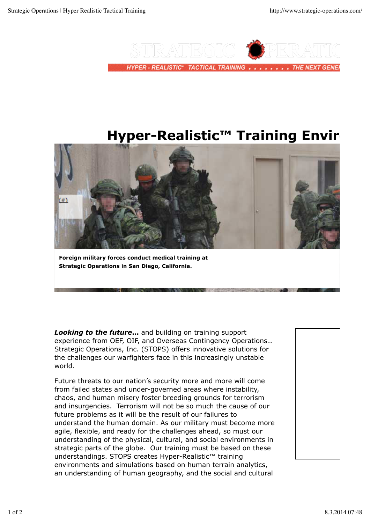

# **Hyper-Realistic™ Training Envir**



**Foreign military forces conduct medical training at Strategic Operations in San Diego, California.**

*Looking to the future***…** and building on training support experience from OEF, OIF, and Overseas Contingency Operations… Strategic Operations, Inc. (STOPS) offers innovative solutions for the challenges our warfighters face in this increasingly unstable world.

Future threats to our nation's security more and more will come from failed states and under-governed areas where instability, chaos, and human misery foster breeding grounds for terrorism and insurgencies. Terrorism will not be so much the cause of our future problems as it will be the result of our failures to understand the human domain. As our military must become more agile, flexible, and ready for the challenges ahead, so must our understanding of the physical, cultural, and social environments in strategic parts of the globe. Our training must be based on these understandings. STOPS creates Hyper-Realistic™ training environments and simulations based on human terrain analytics, an understanding of human geography, and the social and cultural